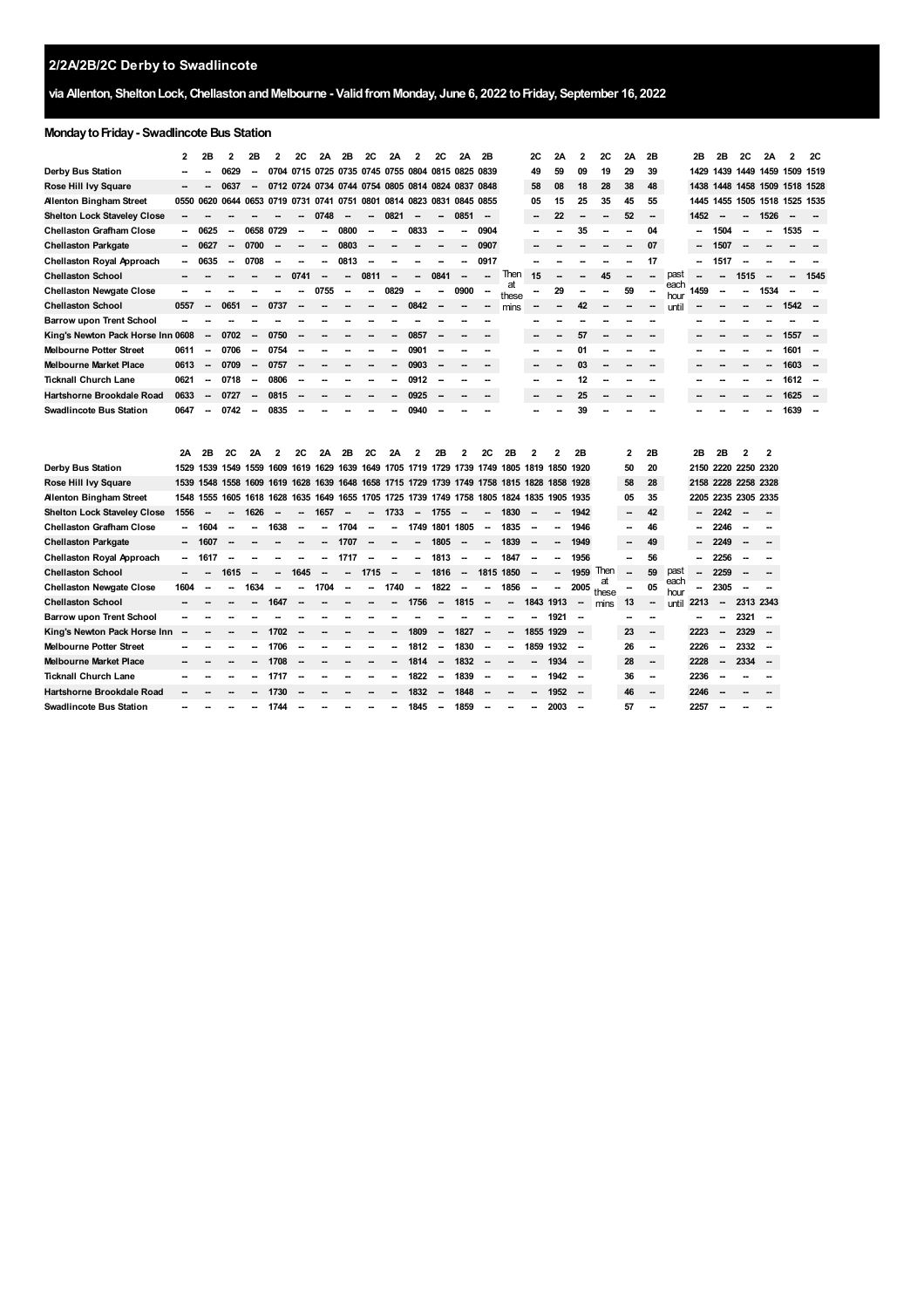# **via Allenton, SheltonLock,ChellastonandMelbourne - ValidfromMonday, June 6, 2022 toFriday, September 16, 2022**

#### **MondaytoFriday- Swadlincote Bus Station**

**Melbourne Market Place Ticknall Church Lane Hartshorne Brookdale Road Swadlincote Bus Station**

**-- -- -- --** **-- -- -- --** **-- -- -- --** **-- -- -- --**

**-- -- -- --** **-- -- -- --** **-- -- -- --** **-- -- -- --** **-- -- -- --**

**-- -- -- --**

**-- -- -- --** **-- -- -- --** **-- -- -- --**

**-- 28 -- 2228 -- 36 -- 2236 -- 46 -- 2246 -- 57 -- 2257** **-- -- -- --** **2334 -- -- --**

**-- -- -- --**

|                                    | 2    | 2B                       | 2                        | 2B                       | $\overline{2}$                                         | 2C     | 2A                       | 2B                                 | 2С                       | 2A                       | $\overline{2}$           | 2C        | 2Α                       | 2B                       |                                                                                           | 2С        | 2Α                       | 2                        | 2C          | 2A           | 2B |              | 2B   | 2B                       | 2C                       | 2A                       | $\overline{2}$                | <b>2C</b>                |
|------------------------------------|------|--------------------------|--------------------------|--------------------------|--------------------------------------------------------|--------|--------------------------|------------------------------------|--------------------------|--------------------------|--------------------------|-----------|--------------------------|--------------------------|-------------------------------------------------------------------------------------------|-----------|--------------------------|--------------------------|-------------|--------------|----|--------------|------|--------------------------|--------------------------|--------------------------|-------------------------------|--------------------------|
| Derby Bus Station                  |      |                          | 0629                     |                          | 0704                                                   |        |                          | 0715 0725 0735 0745 0755 0804 0815 |                          |                          |                          |           | 0825 0839                |                          |                                                                                           | 49        | 59                       | 09                       | 19          | 29           | 39 |              | 1429 |                          |                          |                          | 1439 1449 1459 1509 1519      |                          |
| Rose Hill Ivy Square               |      |                          | 0637                     | $\overline{\phantom{a}}$ | 0712 0724 0734 0744 0754 0805 0814 0824 0837 0848      |        |                          |                                    |                          |                          |                          |           |                          |                          |                                                                                           | 58        | 08                       | 18                       | 28          | 38           | 48 |              |      |                          |                          |                          | 1438 1448 1458 1509 1518 1528 |                          |
| <b>Allenton Bingham Street</b>     | 0550 | 0620 0644                |                          |                          | 0653 0719 0731 0741 0751 0801 0814 0823 0831 0845 0855 |        |                          |                                    |                          |                          |                          |           |                          |                          |                                                                                           | 05        | 15                       | 25                       | 35          | 45           | 55 |              | 1445 |                          |                          |                          | 1455 1505 1518 1525 1535      |                          |
| <b>Shelton Lock Staveley Close</b> |      |                          |                          |                          |                                                        |        | 0748                     | $\sim$                             | $\overline{\phantom{a}}$ | 0821                     | $\overline{\phantom{a}}$ |           | 0851                     | $\sim$                   |                                                                                           |           | 22                       |                          |             | 52           | -  |              | 1452 | $\overline{\phantom{a}}$ | $\overline{\phantom{a}}$ | 1526                     |                               |                          |
| <b>Chellaston Grafham Close</b>    | Ξ.   | 0625                     |                          | 0658 0729                |                                                        |        |                          | 0800                               |                          |                          | 0833                     |           |                          | 0904                     |                                                                                           |           |                          | 35                       |             |              | 04 |              |      | 1504                     |                          | -                        | 1535                          |                          |
| <b>Chellaston Parkgate</b>         |      | 0627                     |                          | 0700                     |                                                        |        |                          | 0803                               |                          |                          |                          |           |                          | 0907                     |                                                                                           |           |                          |                          |             |              | 07 |              |      | 1507                     |                          |                          |                               |                          |
| Chellaston Royal Approach          | Ξ.   | 0635                     |                          | 0708                     |                                                        |        |                          | 0813                               | --                       |                          |                          |           |                          | 0917                     |                                                                                           |           |                          |                          |             |              | 17 |              | -    | 1517                     |                          |                          |                               |                          |
| <b>Chellaston School</b>           |      |                          |                          |                          |                                                        | 0741   | $\overline{\phantom{a}}$ | $\sim$                             | 0811                     | --                       | --                       | 0841      | $\overline{\phantom{a}}$ | $\overline{\phantom{a}}$ | Then                                                                                      | 15        |                          |                          | 45          |              |    | past         |      |                          | 1515                     | $\overline{\phantom{a}}$ | --                            | 1545                     |
| <b>Chellaston Newgate Close</b>    |      |                          |                          |                          |                                                        |        | 0755                     |                                    |                          | 0829                     |                          |           | 0900                     |                          | at<br>these                                                                               |           | 29                       |                          |             | 59           |    | each<br>hour | 1459 |                          |                          | 1534                     |                               |                          |
| <b>Chellaston School</b>           | 0557 | $\overline{\phantom{a}}$ | 0651                     | $\sim$                   | 0737                                                   |        |                          |                                    |                          |                          | 0842                     |           |                          |                          | mins                                                                                      |           | --                       | 42                       |             |              |    | until        |      |                          |                          | -                        | 1542                          |                          |
| <b>Barrow upon Trent School</b>    |      |                          |                          |                          |                                                        |        |                          |                                    |                          |                          |                          |           |                          |                          |                                                                                           |           |                          |                          |             |              |    |              |      |                          |                          |                          |                               |                          |
| King's Newton Pack Horse Inn 0608  |      | $\overline{\phantom{a}}$ | 0702                     | $\overline{\phantom{a}}$ | 0750                                                   |        |                          |                                    |                          |                          | 0857                     |           |                          |                          |                                                                                           |           |                          | 57                       |             |              |    |              |      |                          |                          |                          | 1557                          | $\overline{\phantom{a}}$ |
| Melbourne Potter Street            | 0611 | -                        | 0706                     | -                        | 0754                                                   |        |                          |                                    |                          |                          | 0901                     |           |                          |                          |                                                                                           |           |                          | 01                       |             |              |    |              |      |                          |                          |                          | 1601                          | $\overline{\phantom{a}}$ |
| <b>Melbourne Market Place</b>      | 0613 | $\overline{\phantom{a}}$ | 0709                     | $\sim$                   | 0757                                                   |        |                          |                                    |                          |                          | 0903                     |           |                          |                          |                                                                                           |           |                          | 03                       |             |              |    |              |      |                          |                          |                          | 1603                          | $\overline{\phantom{a}}$ |
| <b>Ticknall Church Lane</b>        | 0621 | -                        | 0718                     | -                        | 0806                                                   |        |                          |                                    |                          |                          | 0912                     |           |                          |                          |                                                                                           |           |                          | 12                       |             |              |    |              |      |                          |                          |                          | 1612                          | $\sim$                   |
| Hartshorne Brookdale Road          | 0633 | $\overline{\phantom{a}}$ | 0727                     | $\overline{\phantom{a}}$ | 0815                                                   |        |                          |                                    |                          |                          | 0925                     |           |                          |                          |                                                                                           |           |                          | 25                       |             |              |    |              |      |                          |                          |                          | 1625                          | <b>.</b>                 |
| <b>Swadlincote Bus Station</b>     | 0647 | Ξ.                       | 0742                     | $\overline{\phantom{a}}$ | 0835                                                   |        |                          |                                    |                          |                          | 0940                     |           |                          |                          |                                                                                           |           |                          | 39                       |             |              |    |              |      |                          |                          |                          | 1639                          | $\overline{\phantom{a}}$ |
|                                    | 2Α   | 2В                       | 2C                       | 2Α                       | $\overline{2}$                                         | 2C     | 2Α                       | 2B                                 | 2C                       | 2A                       | $\mathbf{2}$             | 2В        | 2                        | 2C                       | 2B                                                                                        | 2         |                          | 2B                       |             | $\mathbf{2}$ | 2B |              | 2B   | 2B                       | 2                        | $\overline{2}$           |                               |                          |
| Derby Bus Station                  | 1529 |                          |                          |                          |                                                        |        |                          |                                    |                          |                          |                          |           |                          |                          | 1539 1549 1559 1609 1619 1629 1639 1649 1705 1719 1729 1739 1749 1805 1819 1850           |           |                          | 1920                     |             | 50           | 20 |              |      | 2150 2220 2250 2320      |                          |                          |                               |                          |
| Rose Hill Ivy Square               | 1539 |                          |                          |                          |                                                        |        |                          |                                    |                          |                          |                          |           |                          |                          | 1548 1558 1609 1619 1628 1639 1648 1658 1715 1729 1739 1749 1758 1815 1828 1858 1928      |           |                          |                          |             | 58           | 28 |              |      | 2158 2228 2258 2328      |                          |                          |                               |                          |
| <b>Alenton Bingham Street</b>      |      |                          |                          |                          |                                                        |        |                          |                                    |                          |                          |                          |           |                          |                          | 1548 1555 1605 1618 1628 1635 1649 1655 1705 1725 1739 1749 1758 1805 1824 1835 1905 1935 |           |                          |                          |             | 05           | 35 |              |      | 2205 2235 2305 2335      |                          |                          |                               |                          |
| <b>Shelton Lock Staveley Close</b> | 1556 | $\overline{\phantom{a}}$ | $\overline{\phantom{a}}$ | 1626                     | $\sim$                                                 | $\sim$ | 1657                     | $\sim$                             |                          | $- 1733$                 |                          | - 1755    | $\sim$                   | $\overline{\phantom{a}}$ | 1830                                                                                      |           | $\overline{\phantom{a}}$ | 1942                     |             |              | 42 |              | -    | 2242                     | $\sim$                   | $\overline{\phantom{a}}$ |                               |                          |
| <b>Chellaston Grafham Close</b>    |      | 1604                     |                          |                          | 1638                                                   | --     |                          | 1704                               | $\overline{a}$           |                          | 1749                     | 1801 1805 |                          | $\sim$                   | 1835                                                                                      |           |                          | 1946                     |             |              | 46 |              | --   | 2246                     | -                        |                          |                               |                          |
| <b>Chellaston Parkgate</b>         | ۰.   | 1607                     |                          |                          |                                                        |        |                          | 1707                               | $\sim$                   |                          | --                       | 1805      | $\sim$                   | -                        | 1839                                                                                      |           |                          | 1949                     |             |              | 49 |              |      | 2249                     | $\overline{\phantom{a}}$ |                          |                               |                          |
| Chellaston Royal Approach          | ۰.   | 1617                     |                          |                          |                                                        |        |                          | 1717                               |                          | --                       | --                       | 1813      |                          | -                        | 1847                                                                                      |           |                          | 1956                     |             |              | 56 |              | -    | 2256                     |                          |                          |                               |                          |
| <b>Chellaston School</b>           |      |                          | 1615                     | $\sim$                   | $\sim$                                                 | 1645   | --                       | ۰.                                 | 1715                     | $\overline{\phantom{a}}$ | --                       | 1816      | $\overline{\phantom{a}}$ | 1815 1850                |                                                                                           |           | -                        | 1959                     | Then        |              | 59 | past         | -    | 2259                     |                          |                          |                               |                          |
| <b>Chellaston Newgate Close</b>    | 1604 |                          |                          | 1634                     | $\sim$                                                 |        | 1704                     | $\sim$                             | --                       | 1740                     | $\overline{\phantom{a}}$ | 1822      | $\sim$                   |                          | 1856                                                                                      | $\sim$    | -                        | 2005                     | at<br>these |              | 05 | each<br>hour | -    | 2305                     |                          | $\overline{\phantom{a}}$ |                               |                          |
| <b>Chellaston School</b>           |      |                          |                          |                          | 1647                                                   |        |                          |                                    |                          | --                       | 1756                     | $\sim$    | 1815                     | $\overline{\phantom{a}}$ | $\overline{\phantom{a}}$                                                                  | 1843 1913 |                          | $\overline{\phantom{a}}$ | mins        | 13           |    | until        | 2213 | $\overline{\phantom{a}}$ | 2313 2343                |                          |                               |                          |
| <b>Barrow upon Trent School</b>    |      |                          |                          |                          |                                                        |        |                          |                                    |                          |                          |                          |           |                          |                          |                                                                                           |           | 1921                     |                          |             |              |    |              |      |                          | 2321                     | $\overline{\phantom{a}}$ |                               |                          |
| King's Newton Pack Horse Inn       |      |                          |                          |                          | 1702                                                   |        |                          |                                    |                          |                          | 1809                     |           | 1827                     |                          |                                                                                           | 1855 1929 |                          | $\overline{\phantom{a}}$ |             | 23           |    |              | 2223 |                          | 2329                     | $\overline{\phantom{a}}$ |                               |                          |
| Melbourne Potter Street            |      |                          |                          |                          | 1706                                                   |        |                          |                                    |                          |                          | 1812                     | $\sim$    | 1830                     |                          | -                                                                                         | 1859 1932 |                          | $\sim$                   |             | 26           |    |              | 2226 | $\overline{\phantom{a}}$ | 2332                     | $\sim$                   |                               |                          |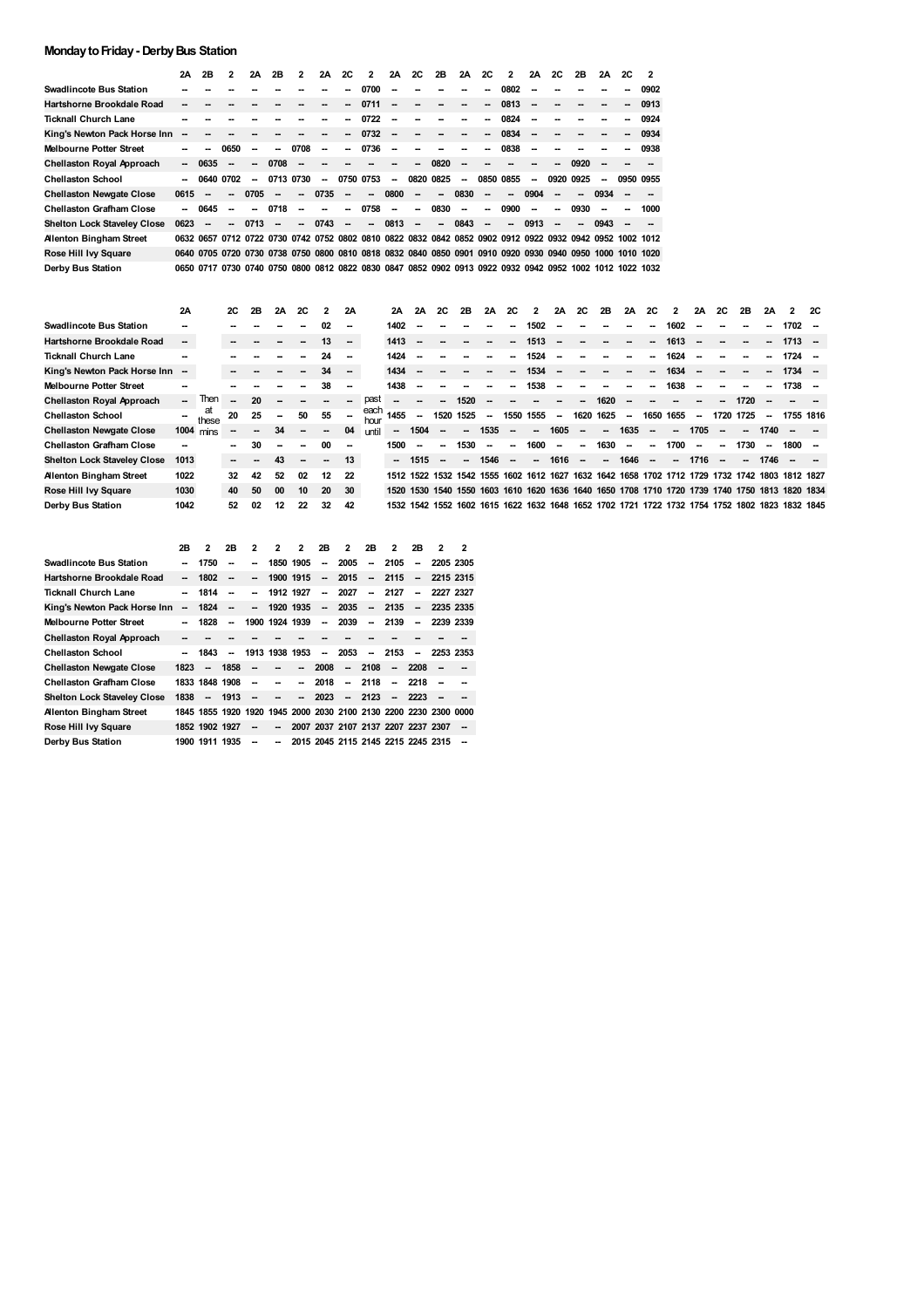## **MondaytoFriday- DerbyBus Station**

|                                    | 2Α                       | 2B                       | 2                        | 2A   | 2B   | 2                        | 2Α                       | 2C                       | 2    | 2A                       | 2C                       | 2B                                                                                                       | 2A                       | <b>2C</b>                | 2                        | 2Α                       | <b>2C</b>                | 2B             | 2A   | 2C | $\overline{\phantom{a}}$ |
|------------------------------------|--------------------------|--------------------------|--------------------------|------|------|--------------------------|--------------------------|--------------------------|------|--------------------------|--------------------------|----------------------------------------------------------------------------------------------------------|--------------------------|--------------------------|--------------------------|--------------------------|--------------------------|----------------|------|----|--------------------------|
| <b>Swadlincote Bus Station</b>     |                          |                          |                          |      |      |                          |                          | --                       | 0700 | --                       |                          |                                                                                                          |                          |                          | 0802                     | $\sim$                   |                          |                |      |    | 0902                     |
| Hartshorne Brookdale Road          |                          |                          |                          |      |      |                          |                          | $\overline{\phantom{a}}$ | 0711 | --                       |                          |                                                                                                          | $\overline{\phantom{a}}$ | -                        | 0813                     | $\sim$                   |                          | --             |      | -  | 0913                     |
| <b>Ticknall Church Lane</b>        |                          |                          |                          |      |      |                          |                          | $\overline{\phantom{a}}$ | 0722 | --                       | --                       |                                                                                                          | --                       | --                       | 0824                     | $\sim$                   | --                       |                |      | -- | 0924                     |
| King's Newton Pack Horse Inn       | --                       |                          |                          |      |      |                          |                          | --                       | 0732 | --                       |                          |                                                                                                          |                          | --                       | 0834                     | $\overline{\phantom{a}}$ |                          |                |      |    | 0934                     |
| <b>Melbourne Potter Street</b>     |                          |                          | 0650                     | --   | --   | 0708                     | $\overline{\phantom{a}}$ | $\overline{\phantom{a}}$ | 0736 | --                       |                          |                                                                                                          | --                       | --                       | 0838                     | $\overline{\phantom{a}}$ |                          |                |      | -- | 0938                     |
| <b>Chellaston Royal Approach</b>   | $\overline{\phantom{a}}$ | 0635                     | --                       | -    | 0708 | $\sim$                   |                          |                          |      | --                       | --                       | 0820                                                                                                     | --                       |                          |                          |                          | $\overline{\phantom{a}}$ | 0920           |      |    |                          |
| <b>Chellaston School</b>           |                          | 0640                     | 0702                     | --   | 0713 | 0730                     | --                       | 0750                     | 0753 | --                       | 0820                     | 0825                                                                                                     | $\overline{\phantom{a}}$ | 0850                     | 0855                     | --                       | 0920                     | 0925           | --   |    | 0950 0955                |
| <b>Chellaston Newgate Close</b>    | 0615                     | $\overline{\phantom{a}}$ | $\overline{\phantom{a}}$ | 0705 | --   | $\overline{\phantom{a}}$ | 0735                     | $\overline{\phantom{a}}$ | --   | 0800                     | $\overline{\phantom{a}}$ | $\sim$                                                                                                   | 0830                     | $\overline{\phantom{a}}$ | --                       | 0904                     | $\overline{\phantom{a}}$ | $\sim$         | 0934 | -- |                          |
| <b>Chellaston Grafham Close</b>    |                          | 0645                     | --                       | --   | 0718 | --                       | --                       | $\overline{\phantom{a}}$ | 0758 | $\overline{\phantom{a}}$ | $\overline{\phantom{a}}$ | 0830                                                                                                     | $\overline{\phantom{a}}$ | -                        | 0900                     | $\overline{\phantom{a}}$ | $\overline{\phantom{a}}$ | 0930           |      | -- | 1000                     |
| <b>Shelton Lock Staveley Close</b> | 0623                     | --                       | --                       | 0713 | --   | $\overline{\phantom{a}}$ | 0743                     | $\overline{\phantom{a}}$ | --   | 0813                     | --                       | $\sim$                                                                                                   | 0843                     | $\overline{\phantom{a}}$ | $\overline{\phantom{a}}$ | 0913                     | $\overline{\phantom{a}}$ | $\overline{a}$ | 0943 |    |                          |
| <b>Alenton Bingham Street</b>      |                          |                          |                          |      |      |                          |                          |                          |      |                          |                          | 0632 0657 0712 0722 0730 0742 0752 0802 0810 0822 0832 0842 0852 0902 0912 0922 0932 0942 0952 1002 1012 |                          |                          |                          |                          |                          |                |      |    |                          |
| Rose Hill Ivy Square               |                          |                          |                          |      |      |                          |                          |                          |      |                          |                          | 0640 0705 0720 0730 0738 0750 0800 0810 0818 0832 0840 0850 0901 0910 0920 0930 0940 0950 1000 1010 1020 |                          |                          |                          |                          |                          |                |      |    |                          |
| Derby Bus Station                  |                          |                          |                          |      |      |                          |                          |                          |      |                          |                          | 0650 0717 0730 0740 0750 0800 0812 0822 0830 0847 0852 0902 0913 0922 0932 0942 0952 1002 1012 1022 1032 |                          |                          |                          |                          |                          |                |      |    |                          |

|                                    | 2A     |           | 2C                       | 2B     | <b>2A</b>                | <b>2C</b> | $\overline{2}$ | 2A                       |              | 2A                       | 2A                       | <b>2C</b> | 2B                       | 2A     | <b>2C</b> | $\overline{2}$ | 2A   | <b>2C</b>                | 2B          | <b>2A</b> | 2C                       | $\mathbf{2}$ | 2A     | <b>2C</b>                | 2B        | 2A                       |                                                                                                | <b>2C</b> |
|------------------------------------|--------|-----------|--------------------------|--------|--------------------------|-----------|----------------|--------------------------|--------------|--------------------------|--------------------------|-----------|--------------------------|--------|-----------|----------------|------|--------------------------|-------------|-----------|--------------------------|--------------|--------|--------------------------|-----------|--------------------------|------------------------------------------------------------------------------------------------|-----------|
| <b>Swadlincote Bus Station</b>     |        |           |                          |        |                          |           | 02             | --                       |              | 1402                     |                          |           |                          |        |           | 1502           |      |                          |             |           |                          | 1602         |        |                          |           |                          | $1702 -$                                                                                       |           |
| Hartshorne Brookdale Road          | --     |           |                          |        |                          |           | 13             | $\overline{\phantom{a}}$ |              | 1413                     |                          |           |                          |        |           | 1513           |      |                          |             |           |                          | 1613         |        |                          |           |                          | $1713 -$                                                                                       |           |
| <b>Ticknall Church Lane</b>        |        |           |                          |        |                          |           | 24             | $\overline{\phantom{a}}$ |              | 1424                     |                          |           |                          |        |           | 1524           |      |                          |             |           |                          | 1624         |        |                          |           |                          | 1724 –                                                                                         |           |
| King's Newton Pack Horse Inn       | $\sim$ |           |                          |        |                          |           | 34             | $\overline{\phantom{a}}$ |              | 1434                     |                          |           |                          |        |           | 1534           |      |                          |             |           | --                       | 1634         |        |                          |           |                          | $1734 -$                                                                                       |           |
| <b>Melbourne Potter Street</b>     | --     |           |                          |        |                          |           | 38             | --                       |              | 1438                     |                          |           |                          |        |           | 1538           |      |                          |             |           |                          | 1638         |        |                          |           |                          | 1738 –                                                                                         |           |
| <b>Chellaston Royal Approach</b>   | н.     | Then      | $\overline{\phantom{a}}$ | 20     |                          |           |                |                          | past         | --                       |                          | --        | 1520                     |        |           |                |      |                          | 1620        |           |                          |              |        |                          | 1720      |                          |                                                                                                |           |
| <b>Chellaston School</b>           |        | at        | 20                       | 25     | $\overline{\phantom{a}}$ | 50        | 55             |                          | each<br>hour | 1455                     | $\overline{\phantom{a}}$ |           | 1520 1525                | $\sim$ |           | 1550 1555      | н.   |                          | 1620 1625 - |           |                          | 1650 1655    | $\sim$ |                          | 1720 1725 | $\overline{\phantom{a}}$ | 1755 1816                                                                                      |           |
| <b>Chellaston Newgate Close</b>    |        | 1004 mins |                          | $\sim$ | 34                       |           |                | 04                       | until        | $\overline{\phantom{a}}$ | 1504                     | --        | $\overline{\phantom{a}}$ | 1535   | $\sim$    | $\sim$         | 1605 | $\overline{\phantom{a}}$ | -           | 1635      | -                        | -            | 1705   |                          |           | 1740                     |                                                                                                |           |
| <b>Chellaston Grafham Close</b>    | --     |           |                          | 30     | -                        | -         | 00             | $\overline{\phantom{a}}$ |              | 1500                     |                          | --        | 1530                     |        | --        | 1600           |      | -                        | 1630        |           | -                        | 1700         |        | $\overline{\phantom{a}}$ | 1730      | -                        | 1800                                                                                           |           |
| <b>Shelton Lock Staveley Close</b> | 1013   |           |                          |        | 43                       |           |                | 13                       |              | -                        | 1515                     |           |                          | 1546   |           | $\sim$         | 1616 | $\sim$                   | -           | 1646      | $\overline{\phantom{a}}$ | -            | 1716   |                          |           | 1746                     |                                                                                                |           |
| <b>Allenton Bingham Street</b>     | 1022   |           | 32                       | 42     | 52                       | 02        | 12             | 22                       |              |                          |                          |           |                          |        |           |                |      |                          |             |           |                          |              |        |                          |           |                          | 1512 1522 1532 1542 1555 1602 1612 1627 1632 1642 1658 1702 1712 1729 1732 1742 1803 1812 1827 |           |
| Rose Hill Ivy Square               | 1030   |           | 40                       | 50     | 00                       | 10        | 20             | 30                       |              | 1520 1530                |                          |           |                          |        |           |                |      |                          |             |           |                          |              |        |                          |           |                          | 1540 1550 1603 1610 1620 1636 1640 1650 1708 1710 1720 1739 1740 1750 1813 1820 1834           |           |
| Derby Bus Station                  | 1042   |           | 52                       | 02     | 12                       | 22        | 32             | 42                       |              |                          |                          |           |                          |        |           |                |      |                          |             |           |                          |              |        |                          |           |                          | 1532 1542 1552 1602 1615 1622 1632 1648 1652 1702 1721 1722 1732 1754 1752 1802 1823 1832 1845 |           |

|                                    | 2В                       | 2                        | 2В                       | 2                        | 2              | 2                        | 2 <b>B</b>               | 2                        | 2 <b>B</b>               | 2                                  | 2B                       | 2                                                                | 2  |
|------------------------------------|--------------------------|--------------------------|--------------------------|--------------------------|----------------|--------------------------|--------------------------|--------------------------|--------------------------|------------------------------------|--------------------------|------------------------------------------------------------------|----|
| Swadlincote Bus Station            |                          | 1750                     |                          |                          |                | 1850 1905                | $\overline{\phantom{a}}$ | 2005                     | $\overline{\phantom{a}}$ | 2105                               | $\overline{\phantom{a}}$ | 2205 2305                                                        |    |
| Hartshorne Brookdale Road          | --                       | 1802                     |                          |                          |                | 1900 1915                | $\overline{\phantom{a}}$ | 2015                     | $\overline{\phantom{a}}$ | 2115                               | $\overline{\phantom{a}}$ | 2215 2315                                                        |    |
| Ticknall Church Lane               |                          | 1814                     | $\overline{\phantom{a}}$ | $\overline{\phantom{a}}$ |                | 1912 1927                | $\overline{\phantom{a}}$ | 2027                     | $\overline{\phantom{a}}$ | 2127                               | $\overline{\phantom{a}}$ | 2227 2327                                                        |    |
| King's Newton Pack Horse Inn       | $\overline{\phantom{a}}$ | 1824                     | $\overline{\phantom{a}}$ | $\overline{\phantom{a}}$ |                | 1920 1935                | $\overline{\phantom{a}}$ | 2035                     | $\overline{\phantom{a}}$ | 2135                               | $\overline{\phantom{a}}$ | 2235 2335                                                        |    |
| <b>Melbourne Potter Street</b>     |                          | 1828                     | $\overline{\phantom{a}}$ |                          | 1900 1924 1939 |                          | $\overline{\phantom{a}}$ | 2039                     | --                       | 2139                               | $\overline{\phantom{a}}$ | 2239 2339                                                        |    |
| Chellaston Royal Approach          | --                       |                          |                          |                          |                |                          |                          |                          |                          |                                    |                          |                                                                  |    |
| Chellaston School                  |                          | 1843                     | $\overline{\phantom{a}}$ |                          | 1913 1938 1953 |                          | $\overline{\phantom{a}}$ | 2053                     | $\overline{\phantom{a}}$ | 2153                               | $\overline{\phantom{a}}$ | 2253 2353                                                        |    |
| <b>Chellaston Newgate Close</b>    | 1823                     | $\overline{\phantom{a}}$ | 1858                     |                          |                | --                       | 2008                     |                          | $-2108$                  |                                    | $-2208$                  | $\overline{\phantom{a}}$                                         |    |
| Chellaston Grafham Close           |                          | 1833 1848 1908           |                          | $\overline{\phantom{a}}$ | --             | --                       | 2018                     | $\overline{\phantom{a}}$ | 2118                     | $\overline{\phantom{a}}$           | 2218                     |                                                                  |    |
| <b>Shelton Lock Staveley Close</b> | 1838                     | $\overline{\phantom{a}}$ | 1913                     |                          | --             | $\overline{\phantom{a}}$ | 2023                     | $\overline{\phantom{a}}$ | - 2123                   | $\overline{\phantom{a}}$           | 2223                     |                                                                  | -- |
| Allenton Bingham Street            |                          |                          |                          |                          |                |                          |                          |                          |                          |                                    |                          | 1845 1855 1920 1920 1945 2000 2030 2100 2130 2200 2230 2300 0000 |    |
| Rose Hill Ivy Square               |                          | 1852 1902 1927           |                          | $\overline{\phantom{a}}$ | --             |                          |                          |                          |                          | 2007 2037 2107 2137 2207 2237 2307 |                          |                                                                  | -- |
| Derby Bus Station                  |                          | 1900 1911 1935           |                          |                          | --             |                          |                          |                          |                          | 2015 2045 2115 2145 2215 2245 2315 |                          |                                                                  |    |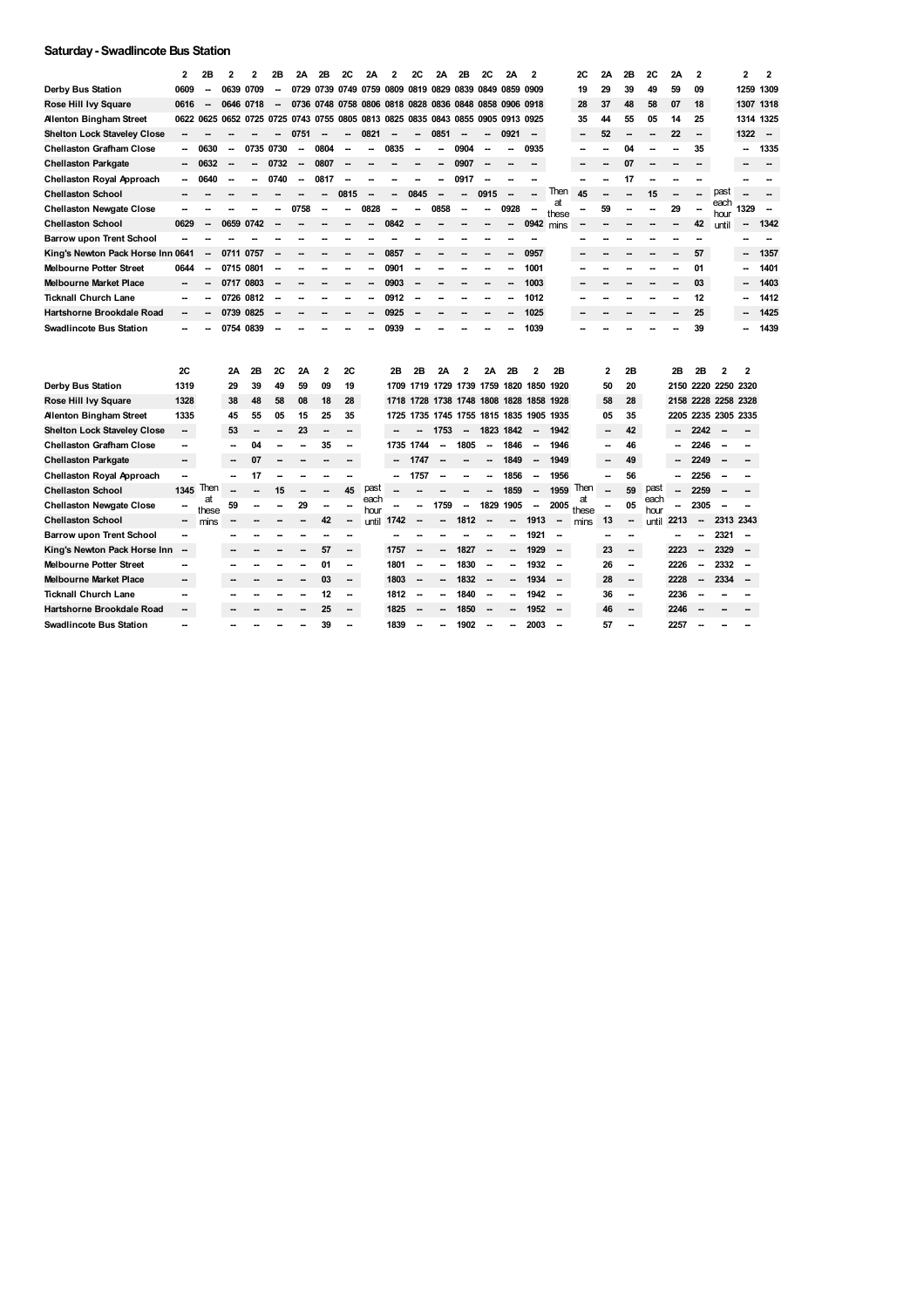## **Saturday- Swadlincote Bus Station**

|                                    | 2                        | 2Β                       | 2              | 2              | 2Β   | 2Α                       | 2В                      | 2С             | 2Α                                           | $\mathbf{2}$ | 2С                       | 2Α   | 2B                       | 2С             | 2Α                                 | 2                        |                          | 2С          | 2Α | 2Β | 2C           | 2Α   | $\mathbf{2}$             |                     | 2                        | 2      |
|------------------------------------|--------------------------|--------------------------|----------------|----------------|------|--------------------------|-------------------------|----------------|----------------------------------------------|--------------|--------------------------|------|--------------------------|----------------|------------------------------------|--------------------------|--------------------------|-------------|----|----|--------------|------|--------------------------|---------------------|--------------------------|--------|
| <b>Derby Bus Station</b>           | 0609                     |                          | 0639           | 0709           |      | 0729                     | 0739                    | 0749           | 0759                                         | 0809         | 0819                     | 0829 | 0839                     | 0849           | 0859                               | 0909                     |                          | 19          | 29 | 39 | 49           | 59   | 09                       |                     | 1259                     | 1309   |
| Rose Hill Ivy Square               | 0616                     |                          | 0646           | 0718           |      |                          | 0736 0748               |                | 0758 0806 0818 0828 0836 0848 0858 0906 0918 |              |                          |      |                          |                |                                    |                          |                          | 28          | 37 | 48 | 58           | 07   | 18                       |                     | 1307 1318                |        |
| <b>Alenton Bingham Street</b>      | 0622 0625                |                          |                | 0652 0725 0725 |      |                          |                         |                | 0743 0755 0805 0813                          |              |                          |      |                          |                | 0825 0835 0843 0855 0905 0913 0925 |                          |                          | 35          | 44 | 55 | 05           | 14   | 25                       |                     | 1314 1325                |        |
| <b>Shelton Lock Staveley Close</b> |                          |                          |                |                |      | 0751                     |                         | --             | 0821                                         | --           |                          | 0851 |                          | --             | 0921                               | $\sim$                   |                          |             | 52 |    |              | 22   | $\overline{\phantom{a}}$ |                     | 1322                     | $\sim$ |
| <b>Chellaston Grafham Close</b>    |                          | 0630                     | -              | 0735 0730      |      |                          | 0804                    |                |                                              | 0835         |                          |      | 0904                     |                |                                    | 0935                     |                          |             |    | 04 |              |      | 35                       |                     |                          | 1335   |
| <b>Chellaston Parkgate</b>         |                          | 0632                     |                |                | 0732 | $\overline{\phantom{a}}$ | 0807                    |                |                                              |              |                          |      | 0907                     |                |                                    |                          |                          |             |    | 07 |              |      |                          |                     |                          |        |
| Chellaston Royal Approach          | Ξ.                       | 0640                     | $\overline{a}$ |                | 0740 | $\overline{a}$           | 0817                    |                |                                              |              |                          |      | 0917                     |                |                                    |                          |                          |             |    | 17 |              |      |                          |                     |                          |        |
| <b>Chellaston School</b>           |                          |                          |                |                |      |                          |                         | 0815           |                                              | --           | 0845                     |      |                          | 0915           |                                    |                          | Then                     | 45          |    |    | 15           |      |                          | past                |                          |        |
| <b>Chellaston Newgate Close</b>    |                          |                          |                |                |      | 0758                     | --                      | --             | 0828                                         | --           |                          | 0858 | -                        | $\overline{a}$ | 0928                               |                          | at<br>these              |             | 59 |    |              | 29   | $\overline{a}$           | each<br>hour        | 1329                     |        |
| <b>Chellaston School</b>           | 0629                     | $\overline{\phantom{a}}$ | 0659           | 0742           |      |                          |                         |                |                                              | 0842         |                          |      |                          |                | $\overline{\phantom{a}}$           | 0942 mins                |                          |             |    |    |              | -    | 42                       | until               | -                        | 1342   |
| <b>Barrow upon Trent School</b>    |                          |                          |                |                |      |                          |                         |                |                                              |              |                          |      |                          |                |                                    |                          |                          |             |    |    |              |      |                          |                     |                          |        |
| King's Newton Pack Horse Inn 0641  |                          | $\overline{\phantom{a}}$ | 0711           | 0757           |      |                          |                         |                |                                              | 0857         |                          |      |                          |                |                                    | 0957                     |                          |             |    |    |              |      | 57                       |                     |                          | 1357   |
| <b>Melbourne Potter Street</b>     | 0644                     |                          | 0715           | 0801           |      |                          |                         |                |                                              | 0901         |                          |      |                          |                |                                    | 1001                     |                          |             |    |    |              |      | 01                       |                     |                          | 1401   |
| <b>Melbourne Market Place</b>      | --                       |                          | 0717           | 0803           |      |                          |                         |                | --                                           | 0903         |                          |      |                          |                |                                    | 1003                     |                          |             |    |    |              | --   | 03                       |                     |                          | 1403   |
| <b>Ticknall Church Lane</b>        |                          |                          | 0726           | 0812           |      |                          |                         |                |                                              | 0912         |                          |      |                          |                |                                    | 1012                     |                          |             |    |    |              |      | 12                       |                     |                          | 1412   |
| <b>Hartshorne Brookdale Road</b>   | --                       |                          | 0739           | 0825           |      |                          |                         |                |                                              | 0925         |                          |      |                          |                |                                    | 1025                     |                          |             |    |    |              |      | 25                       |                     |                          | 1425   |
| <b>Swadlincote Bus Station</b>     | --                       |                          |                | 0754 0839      |      |                          |                         |                |                                              | 0939         |                          |      |                          |                |                                    | 1039                     |                          |             |    |    |              |      | 39                       |                     |                          | 1439   |
|                                    |                          |                          |                |                |      |                          |                         |                |                                              |              |                          |      |                          |                |                                    |                          |                          |             |    |    |              |      |                          |                     |                          |        |
|                                    |                          |                          |                |                |      |                          |                         |                |                                              |              |                          |      |                          |                |                                    |                          |                          |             |    |    |              |      |                          |                     |                          |        |
|                                    | 2C                       |                          | 2Α             | 2Β             | 2C   | 2Α                       | $\overline{\mathbf{c}}$ | 2C             |                                              | 2B           | 2Β                       | 2Α   |                          | 2Α             | 2B                                 | 2                        | 2B                       |             | 2  | 2B |              | 2Β   | 2Β                       | 2                   | 2                        |        |
| Derby Bus Station                  | 1319                     |                          | 29             | 39             | 49   | 59                       | 09                      | 19             |                                              | 1709         |                          |      |                          |                | 1719 1729 1739 1759 1820 1850      |                          | 1920                     |             | 50 | 20 |              |      |                          | 2150 2220 2250 2320 |                          |        |
| Rose Hill Ivy Square               | 1328                     |                          | 38             | 48             | 58   | 08                       | 18                      | 28             |                                              | 1718         |                          |      |                          |                | 1728 1738 1748 1808 1828 1858 1928 |                          |                          |             | 58 | 28 |              |      |                          | 2158 2228 2258 2328 |                          |        |
| <b>Allenton Bingham Street</b>     | 1335                     |                          | 45             | 55             | 05   | 15                       | 25                      | 35             |                                              | 1725         |                          |      |                          |                | 1735 1745 1755 1815 1835 1905 1935 |                          |                          |             | 05 | 35 |              | 2205 |                          | 2235 2305 2335      |                          |        |
| <b>Shelton Lock Staveley Close</b> | -                        |                          | 53             | --             |      | 23                       | -                       |                |                                              |              |                          | 1753 | --                       |                | 1823 1842                          | $\overline{\phantom{a}}$ | 1942                     |             | -- | 42 |              | --   | 2242                     | -                   |                          |        |
| <b>Chellaston Grafham Close</b>    | -                        |                          |                | 04             |      |                          | 35                      | --             |                                              |              | 1735 1744                |      | 1805                     |                | 1846                               |                          | 1946                     |             | -- | 46 |              |      | 2246                     |                     |                          |        |
| <b>Chellaston Parkgate</b>         | -                        |                          |                | 07             |      |                          |                         |                |                                              |              | 1747                     |      |                          |                | 1849                               | --                       | 1949                     |             |    | 49 |              |      | 2249                     | --                  |                          |        |
| Chellaston Royal Approach          |                          |                          | -              | 17             |      |                          |                         |                |                                              | --           | 1757                     |      |                          |                | 1856                               |                          | 1956                     |             |    | 56 |              | −−   | 2256                     | -                   |                          |        |
| <b>Chellaston School</b>           | 1345                     | <b>Then</b><br>at        |                |                | 15   |                          |                         | 45             | past<br>each                                 |              |                          |      |                          |                | 1859                               | $\overline{\phantom{a}}$ | 1959                     | Then        |    | 59 | past<br>each |      | 2259                     | --                  |                          |        |
| <b>Chellaston Newgate Close</b>    |                          | these                    | 59             |                |      | 29                       |                         |                | hour                                         |              |                          | 1759 | $\overline{\phantom{a}}$ |                | 1829 1905                          | $\overline{\phantom{a}}$ | 2005                     | at<br>these |    | 05 | hour         | Ξ.   | 2305                     |                     |                          |        |
| <b>Chellaston School</b>           | Ξ.                       | mins                     |                |                |      |                          | 42                      |                | until                                        | 1742         |                          |      | 1812                     |                |                                    | 1913                     | $\overline{\phantom{a}}$ | mins        | 13 | -- | until        | 2213 | --                       | 2313 2343           |                          |        |
| <b>Barrow upon Trent School</b>    | -                        |                          |                |                |      |                          |                         |                |                                              |              |                          |      |                          |                |                                    | 1921                     |                          |             |    |    |              |      |                          | 2321                |                          |        |
| King's Newton Pack Horse Inn       | $\overline{\phantom{a}}$ |                          |                |                |      |                          | 57                      |                |                                              | 1757         | $\overline{\phantom{a}}$ |      | 1827                     |                | ۰.                                 | 1929                     |                          |             | 23 | -- |              | 2223 | $\overline{\phantom{a}}$ | 2329                |                          |        |
| <b>Melbourne Potter Street</b>     |                          |                          |                |                |      |                          | 01                      | ۰.             |                                              | 1801         | $\overline{\phantom{a}}$ |      | 1830                     |                |                                    | 1932                     | --                       |             | 26 | ۰. |              | 2226 |                          | 2332                |                          |        |
| <b>Melbourne Market Place</b>      | ш,                       |                          |                |                |      |                          | 03                      | $\overline{a}$ |                                              | 1803         | -                        | --   | 1832                     | --             | Ξ.                                 | 1934                     | $\overline{\phantom{a}}$ |             | 28 | μ. |              | 2228 | $\overline{\phantom{a}}$ | 2334                | $\overline{\phantom{a}}$ |        |
| <b>Ticknall Church Lane</b>        | -                        |                          |                |                |      |                          | 12                      | -              |                                              | 1812         | -                        | --   | 1840                     | --             | Ξ.                                 | 1942                     | $\overline{\phantom{a}}$ |             | 36 | -- |              | 2236 |                          |                     |                          |        |
| Hartshorne Brookdale Road          | ш,                       |                          |                |                |      |                          | 25                      |                |                                              | 1825         |                          |      | 1850                     |                |                                    | 1952                     |                          |             | 46 | Ξ. |              | 2246 |                          |                     |                          |        |
| <b>Swadlincote Bus Station</b>     |                          |                          |                |                |      |                          | 39                      |                |                                              | 1839         |                          |      | 1902                     |                |                                    | 2003                     |                          |             | 57 | -- |              | 2257 |                          |                     |                          |        |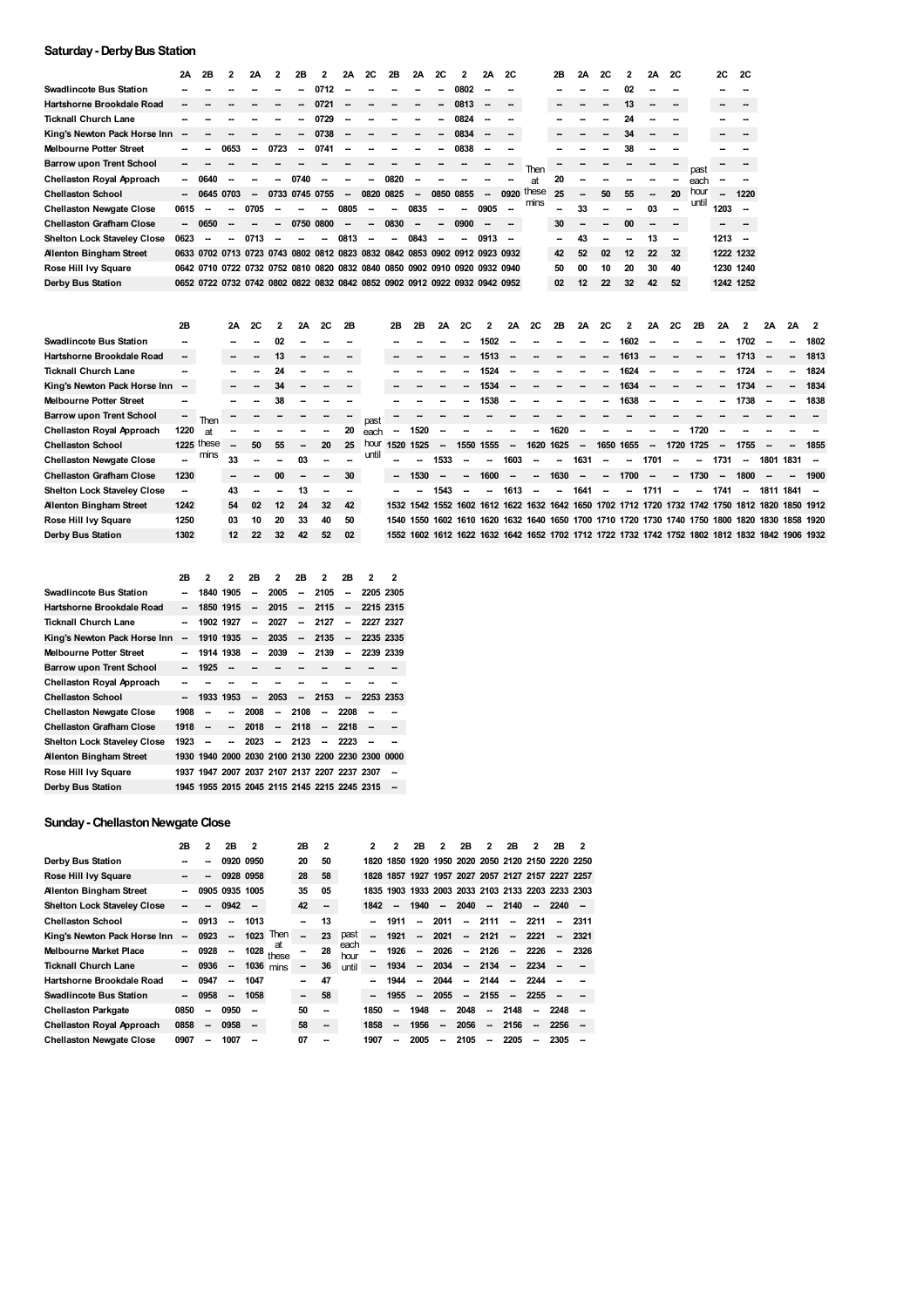## **Saturday- DerbyBus Station**

|                                    | 2A                       | 2B      | 2    | 2A   |      | 2В                       | $\overline{\phantom{a}}$ | 2A   | <b>2C</b> | 2B   | <b>2A</b>                | <b>2C</b>                | 2                                                                          | 2A   | <b>2C</b> |            | 2B     | 2A | 2C | $\overline{2}$ | 2A                       | <b>2C</b> |       | 2C     | <b>2C</b>                |
|------------------------------------|--------------------------|---------|------|------|------|--------------------------|--------------------------|------|-----------|------|--------------------------|--------------------------|----------------------------------------------------------------------------|------|-----------|------------|--------|----|----|----------------|--------------------------|-----------|-------|--------|--------------------------|
| <b>Swadlincote Bus Station</b>     |                          |         |      |      |      |                          | 0712                     |      |           |      |                          | --                       | 0802                                                                       |      |           |            |        |    |    | 02             |                          |           |       |        |                          |
| Hartshorne Brookdale Road          |                          |         |      |      |      |                          | 0721                     |      |           |      |                          | $\overline{\phantom{a}}$ | 0813                                                                       |      |           |            |        |    |    | 13             |                          |           |       |        |                          |
| <b>Ticknall Church Lane</b>        |                          |         |      |      |      |                          | 0729                     |      |           |      |                          | $\overline{\phantom{a}}$ | 0824                                                                       |      |           |            |        |    | -- | 24             |                          |           |       |        |                          |
| King's Newton Pack Horse Inn       |                          |         |      |      |      |                          | 0738                     |      |           |      |                          | $\sim$                   | 0834                                                                       |      |           |            |        |    |    | 34             |                          |           |       |        |                          |
| <b>Melbourne Potter Street</b>     |                          |         | 0653 | --   | 0723 | $\overline{\phantom{a}}$ | 0741                     | --   |           |      |                          | --                       | 0838                                                                       |      |           |            |        |    |    | 38             |                          |           |       |        |                          |
| <b>Barrow upon Trent School</b>    |                          |         |      |      |      |                          |                          |      |           |      |                          |                          |                                                                            |      |           | Then       |        |    |    |                |                          |           | past  |        |                          |
| <b>Chellaston Royal Approach</b>   | $\overline{\phantom{a}}$ | 0640    |      |      | --   | 0740                     |                          |      | --        | 0820 |                          |                          |                                                                            |      |           | <b>at</b>  | 20     |    |    |                |                          |           | each  |        |                          |
| <b>Chellaston School</b>           | $\overline{\phantom{a}}$ | 0645    | 0703 |      |      |                          | 0733 0745 0755           | --   | 0820      | 0825 | $\overline{\phantom{a}}$ |                          | 0850 0855                                                                  | -    |           | 0920 these | 25     | -- | 50 | 55             | $\overline{\phantom{a}}$ | 20        | hour  | $\sim$ | 1220                     |
| <b>Chellaston Newgate Close</b>    | 0615                     | --      | --   | 0705 |      |                          |                          | 0805 | --        | --   | 0835                     |                          |                                                                            | 0905 |           | mins       |        | 33 |    | -              | 03                       |           | until | 1203   | --                       |
| <b>Chellaston Grafham Close</b>    |                          | $-0650$ |      |      | --   | 0750                     | 0800                     | --   | --        | 0830 |                          | $\overline{\phantom{a}}$ | 0900                                                                       |      |           |            | 30     |    | -  | 00             |                          |           |       |        |                          |
| <b>Shelton Lock Staveley Close</b> | 0623                     |         | --   | 0713 |      |                          |                          | 0813 | --        | --   | 0843                     |                          |                                                                            | 0913 |           |            | $\sim$ | 43 | -  | -              | 13                       |           |       | 1213   | $\overline{\phantom{a}}$ |
| <b>Allenton Bingham Street</b>     |                          |         |      |      |      |                          |                          |      |           |      |                          |                          | 0633 0702 0713 0723 0743 0802 0812 0823 0832 0842 0853 0902 0912 0923 0932 |      |           |            | 42     | 52 | 02 | 12             | 22                       | 32        |       |        | 1222 1232                |
| Rose Hill Ivy Square               |                          |         |      |      |      |                          |                          |      |           |      |                          |                          | 0642 0710 0722 0732 0752 0810 0820 0832 0840 0850 0902 0910 0920 0932 0940 |      |           |            | 50     | 00 | 10 | 20             | 30                       | 40        |       |        | 1230 1240                |
| Derby Bus Station                  |                          |         |      |      |      |                          |                          |      |           |      |                          |                          | 0652 0722 0732 0742 0802 0822 0832 0842 0852 0902 0912 0922 0932 0942 0952 |      |           |            | 02     | 12 | 22 | 32             | 42                       | 52        |       |        | 1242 1252                |
|                                    |                          |         |      |      |      |                          |                          |      |           |      |                          |                          |                                                                            |      |           |            |        |    |    |                |                          |           |       |        |                          |

|                                 | 2В                       |              | 2A              | <b>2C</b> | 2  | 2A                       | <b>2C</b> | 2B |       | 2B                       | 2B                                                                                             | 2A     | 2C                       |                          | 2A                       | 2C     | 2B   | 2A     | <b>2C</b>                | 2                        | 2A                                 | 2C                       | 2B   | 2A                       | $\mathcal{P}$ | 2A   | 2A                       | -2   |
|---------------------------------|--------------------------|--------------|-----------------|-----------|----|--------------------------|-----------|----|-------|--------------------------|------------------------------------------------------------------------------------------------|--------|--------------------------|--------------------------|--------------------------|--------|------|--------|--------------------------|--------------------------|------------------------------------|--------------------------|------|--------------------------|---------------|------|--------------------------|------|
| <b>Swadlincote Bus Station</b>  | --                       |              |                 |           | 02 |                          |           |    |       |                          |                                                                                                |        |                          | 1502                     |                          |        |      |        |                          | 1602                     |                                    |                          |      | $\overline{\phantom{a}}$ | 1702          |      | -                        | 1802 |
| Hartshorne Brookdale Road       | $\sim$                   |              |                 | -         | 13 | $\overline{\phantom{a}}$ |           |    |       | $\overline{\phantom{a}}$ |                                                                                                |        | -                        | 1513                     |                          |        |      |        | --                       | 1613                     |                                    |                          |      | -                        | 1713          |      | -                        | 1813 |
| <b>Ticknall Church Lane</b>     |                          |              |                 |           | 24 |                          |           |    |       |                          |                                                                                                |        |                          | 1524                     |                          |        |      |        | --                       | 1624                     |                                    |                          |      | $\overline{\phantom{a}}$ | 1724          |      | -                        | 1824 |
| King's Newton Pack Horse Inn    | $\overline{\phantom{a}}$ |              |                 |           | 34 | --                       |           |    |       |                          |                                                                                                |        |                          | 1534                     |                          |        |      |        | --                       | 1634                     |                                    |                          |      | $\overline{\phantom{a}}$ | 1734          |      | -                        | 1834 |
| <b>Melbourne Potter Street</b>  | --                       |              |                 |           | 38 |                          |           |    |       |                          |                                                                                                |        |                          | 1538                     |                          |        |      |        | --                       | 1638                     |                                    |                          |      | -                        | 1738          |      | -                        | 1838 |
| <b>Barrow upon Trent School</b> | --                       | Then         |                 |           |    |                          |           |    | past  |                          |                                                                                                |        |                          |                          |                          |        |      |        |                          |                          |                                    |                          |      |                          |               |      |                          |      |
| Chellaston Royal Approach       | 1220                     | <b>at</b>    |                 |           |    |                          |           | 20 | each  | $\sim$                   | 1520                                                                                           | -      |                          |                          |                          |        | 1620 |        |                          |                          |                                    |                          | 1720 |                          |               |      |                          |      |
| <b>Chellaston School</b>        |                          | $1225$ these |                 | 50        | 55 | --                       | 20        | 25 | hour  |                          | 1520 1525                                                                                      | $\sim$ | 1550                     | 1555                     | $\overline{\phantom{a}}$ | 1620   | 1625 | $\sim$ | 1650 1655                |                          | -                                  | 1720                     | 1725 | $\overline{\phantom{a}}$ | 1755          | -    | -                        | 1855 |
| <b>Chellaston Newgate Close</b> |                          | mins         | 33              |           |    | 03                       |           |    | until |                          |                                                                                                | 1533   |                          |                          | 1603                     | $\sim$ | --   | 1631   | $\overline{\phantom{a}}$ | $\overline{\phantom{a}}$ | 1701                               | $\overline{\phantom{a}}$ | -    | 1731                     |               | 1801 | 1831                     |      |
| <b>Chellaston Grafham Close</b> | 1230                     |              |                 |           | 00 | --                       | --        | 30 |       | $\overline{\phantom{a}}$ | 1530                                                                                           |        | $\overline{\phantom{a}}$ | 1600                     | --                       |        | 1630 | $\sim$ | -                        | 1700                     | -                                  | --                       | 1730 | $\sim$                   | 1800          | -    | $\overline{\phantom{a}}$ | 1900 |
| Shelton Lock Staveley Close     | --                       |              | 43              |           |    | 13                       |           |    |       |                          |                                                                                                | 1543   |                          | --                       | 1613                     |        | --   | 1641   | $\overline{\phantom{a}}$ | $\overline{\phantom{a}}$ | 1711                               |                          | -    | 1741                     | $\sim$        | 1811 | 1841                     |      |
| <b>Alenton Bingham Street</b>   | 1242                     |              | 54              | 02        | 12 | 24                       | 32        | 42 |       |                          | 1532 1542 1552 1602 1612 1622 1632 1642 1650 1702 1712 1720 1732 1742 1750 1812                |        |                          |                          |                          |        |      |        |                          |                          |                                    |                          |      |                          |               | 1820 | 1850 1912                |      |
| Rose Hill Ivy Square            | 1250                     |              | 03              | 10        | 20 | 33                       | 40        | 50 |       | 1540                     | 1550                                                                                           |        |                          | 1602 1610 1620 1632 1640 |                          |        |      |        |                          |                          | 1650 1700 1710 1720 1730 1740 1750 |                          |      | 1800                     | 1820          | 1830 | 1858 1920                |      |
| Derby Bus Station               | 1302                     |              | 12 <sup>2</sup> | 22        | 32 | 42                       | 52        | 02 |       |                          | 1552 1602 1612 1622 1632 1642 1652 1702 1712 1722 1732 1742 1752 1802 1812 1832 1842 1906 1932 |        |                          |                          |                          |        |      |        |                          |                          |                                    |                          |      |                          |               |      |                          |      |

|                                 | 2Β                       | 2                                                 | 2                        | 2В                       | 2                        | 2B                       | 2                        | 2B.                      | 2         | 2 |
|---------------------------------|--------------------------|---------------------------------------------------|--------------------------|--------------------------|--------------------------|--------------------------|--------------------------|--------------------------|-----------|---|
| Swadlincote Bus Station         |                          |                                                   | 1840 1905                | --                       | 2005                     | --                       | 2105                     | --                       | 2205 2305 |   |
| Hartshorne Brookdale Road       | --                       |                                                   | 1850 1915                | $\overline{\phantom{a}}$ | 2015                     | $\overline{\phantom{a}}$ | 2115                     | $\overline{\phantom{a}}$ | 2215 2315 |   |
| Ticknall Church Lane            |                          |                                                   | 1902 1927                |                          | 2027                     | --                       | 2127                     | --                       | 2227 2327 |   |
| King's Newton Pack Horse Inn    | $\overline{\phantom{a}}$ |                                                   | 1910 1935                | $\overline{\phantom{a}}$ | 2035                     | $\overline{\phantom{a}}$ | 2135                     | $\overline{\phantom{a}}$ | 2235 2335 |   |
| Melbourne Potter Street         |                          |                                                   | 1914 1938                | --                       | 2039                     | --                       | 2139                     | $\overline{\phantom{a}}$ | 2239 2339 |   |
| Barrow upon Trent School        | --                       | 1925                                              | $\overline{\phantom{a}}$ |                          |                          |                          |                          |                          |           |   |
| Chellaston Royal Approach       |                          |                                                   |                          |                          |                          |                          |                          |                          |           |   |
| <b>Chellaston School</b>        |                          |                                                   | 1933 1953                | $\overline{\phantom{a}}$ | 2053                     | $\overline{\phantom{a}}$ | 2153                     | $\overline{\phantom{a}}$ | 2253 2353 |   |
| <b>Chellaston Newgate Close</b> | 1908                     | --                                                | --                       | 2008                     | $\overline{\phantom{a}}$ | 2108                     | $\overline{\phantom{a}}$ | 2208                     |           |   |
| <b>Chellaston Grafham Close</b> | 1918                     |                                                   | $\overline{\phantom{a}}$ | 2018                     | $\overline{\phantom{a}}$ | 2118                     | $\overline{\phantom{a}}$ | 2218                     |           |   |
| Shelton Lock Staveley Close     | 1923                     |                                                   |                          | 2023                     | $\overline{\phantom{a}}$ | 2123                     | $\overline{\phantom{a}}$ | 2223                     |           |   |
| Allenton Bingham Street         |                          | 1930 1940 2000 2030 2100 2130 2200 2230 2300 0000 |                          |                          |                          |                          |                          |                          |           |   |
| Rose Hill Ivy Square            |                          | 1937 1947 2007 2037 2107 2137 2207 2237 2307      |                          |                          |                          |                          |                          |                          |           |   |
| Derby Bus Station               |                          | 1945 1955 2015 2045 2115 2145 2215 2245 2315      |                          |                          |                          |                          |                          |                          |           |   |

## **Sunday - Chellaston Newgate Close**

|                                    | 2Β   | 2                        | 2В                       | 2                        |             | 2B             | 2                        |              | 2                        | 2                        | 2Β                       | 2                        | 2B      | 2       | 2B                       | 2                        | 2B                                                | 2    |
|------------------------------------|------|--------------------------|--------------------------|--------------------------|-------------|----------------|--------------------------|--------------|--------------------------|--------------------------|--------------------------|--------------------------|---------|---------|--------------------------|--------------------------|---------------------------------------------------|------|
| Derby Bus Station                  |      | --                       | 0920 0950                |                          |             | 20             | 50                       |              | 1820                     |                          |                          |                          |         |         |                          |                          | 1850 1920 1950 2020 2050 2120 2150 2220 2250      |      |
| Rose Hill Ivy Square               | --   | -                        | 0928 0958                |                          |             | 28             | 58                       |              |                          |                          |                          |                          |         |         |                          |                          | 1828 1857 1927 1957 2027 2057 2127 2157 2227 2257 |      |
| <b>Allenton Bingham Street</b>     |      |                          | 0905 0935 1005           |                          |             | 35             | 05                       |              | 1835                     |                          |                          |                          |         |         |                          |                          | 1903 1933 2003 2033 2103 2133 2203 2233 2303      |      |
| <b>Shelton Lock Staveley Close</b> | --   | --                       | 0942                     | $\overline{\phantom{a}}$ |             | 42             | --                       |              | 1842                     | $\overline{\phantom{a}}$ | 1940                     |                          | $-2040$ | $\sim$  | 2140                     | $\sim$                   | $2240 -$                                          |      |
| <b>Chellaston School</b>           |      | 0913                     | --                       | 1013                     |             |                | 13                       |              |                          | 1911                     | $\overline{\phantom{a}}$ | 2011                     |         | $-2111$ | $\sim$                   | 2211                     | ۰.                                                | 2311 |
| King's Newton Pack Horse Inn       | --   | 0923                     | $\overline{a}$           | 1023                     | Then        | $\overline{a}$ | 23                       | past         | $\overline{\phantom{a}}$ | 1921                     | $\sim$                   | 2021                     | $\sim$  | 2121    | $\sim$                   | 2221                     |                                                   | 2321 |
| <b>Melbourne Market Place</b>      |      | 0928                     | -                        | 1028                     | at<br>these |                | 28                       | each<br>hour | --                       | 1926                     | $\overline{\phantom{a}}$ | 2026                     | $\sim$  | 2126    | $\sim$                   | 2226                     | $\sim$                                            | 2326 |
| <b>Ticknall Church Lane</b>        |      | 0936                     | $\overline{\phantom{a}}$ |                          | $1036$ mins | -              | 36                       | until        | --                       | 1934                     | $\sim$                   | 2034                     | $\sim$  | 2134    | $\sim$                   | 2234                     |                                                   |      |
| Hartshorne Brookdale Road          |      | 0947                     | --                       | 1047                     |             | --             | 47                       |              |                          | 1944                     | $\overline{\phantom{a}}$ | 2044                     | $\sim$  | 2144    | $\overline{\phantom{a}}$ | 2244                     |                                                   |      |
| <b>Swadlincote Bus Station</b>     |      | 0958                     | --                       | 1058                     |             | -              | 58                       |              | --                       | 1955                     | $\sim$                   | 2055                     |         | $-2155$ |                          | $-2255$                  |                                                   |      |
| <b>Chellaston Parkgate</b>         | 0850 | $\overline{\phantom{a}}$ | 0950                     | $\overline{\phantom{a}}$ |             | 50             | -                        |              | 1850                     | --                       | 1948                     | $\overline{\phantom{a}}$ | 2048    | $\sim$  | 2148                     | $\overline{\phantom{a}}$ | 2248                                              |      |
| <b>Chellaston Royal Approach</b>   | 0858 | $\sim$                   | 0958                     | $\overline{\phantom{a}}$ |             | 58             | $\overline{\phantom{a}}$ |              | 1858                     | --                       | 1956                     | $\sim$                   | 2056    | $\sim$  | 2156                     | $\sim$                   | 2256                                              |      |
| <b>Chellaston Newgate Close</b>    | 0907 | --                       | 1007                     |                          |             | 07             | --                       |              | 1907                     |                          | 2005                     | --                       | 2105    | --      | 2205                     |                          | 2305                                              |      |